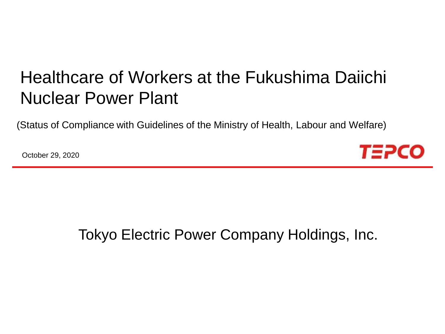# Healthcare of Workers at the Fukushima Daiichi Nuclear Power Plant

(Status of Compliance with Guidelines of the Ministry of Health, Labour and Welfare)

October 29, 2020



## Tokyo Electric Power Company Holdings, Inc.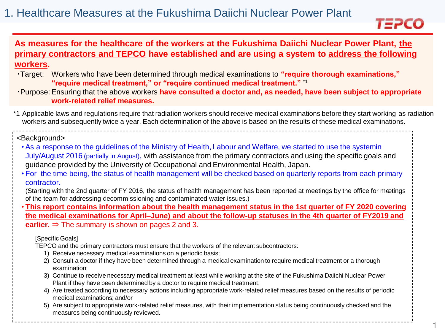

### **As measures for the healthcare of the workers at the Fukushima Daiichi Nuclear Power Plant, the primary contractors and TEPCO have established and are using a system to address the following workers.**

- ・Target: Workers who have been determined through medical examinations to **"require thorough examinations," "require medical treatment," or "require continued medical treatment."** \*1
- ・Purpose: Ensuring that the above workers **have consulted a doctor and, as needed, have been subject to appropriate work-related relief measures.**
- \*1 Applicable laws and regulations require that radiation workers should receive medical examinations before they start working as radiation workers and subsequently twice a year. Each determination of the above is based on the results of these medical examinations.

#### <Background>

- As a response to the guidelines of the Ministry of Health, Labour and Welfare, we started to use the systemin July/August 2016 (partially in August), with assistance from the primary contractors and using the specific goals and guidance provided by the University of Occupational and Environmental Health, Japan.
- For the time being, the status of health management will be checked based on quarterly reports from each primary contractor.

(Starting with the 2nd quarter of FY 2016, the status of health management has been reported at meetings by the office for meetings of the team for addressing decommissioning and contaminated water issues.)

• **This report contains information about the health management status in the 1st quarter of FY 2020 covering the medical examinations for April–June) and about the follow-up statuses in the 4th quarter of FY2019 and earlier.**  $\Rightarrow$  The summary is shown on pages 2 and 3.

#### [Specific Goals]

TEPCO and the primary contractors must ensure that the workers of the relevant subcontractors:

- 1) Receive necessary medical examinations on a periodic basis;
- 2) Consult a doctor if they have been determined through a medical examination to require medical treatment or a thorough examination;
- 3) Continue to receive necessary medical treatment at least while working at the site of the Fukushima Daiichi Nuclear Power Plant if they have been determined by a doctor to require medical treatment;
- 4) Are treated according to necessary actions including appropriate work-related relief measures based on the results of periodic medical examinations; and/or
- 5) Are subject to appropriate work-related relief measures, with their implementation status being continuously checked and the measures being continuously reviewed.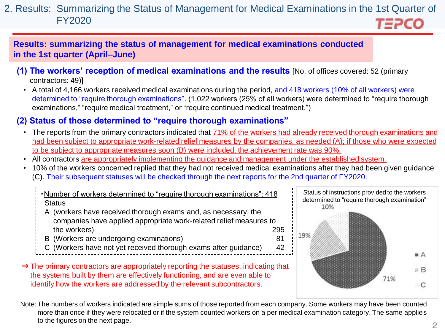#### 2. Results: Summarizing the Status of Management for Medical Examinations in the 1st Quarter of FY2020 *T∃PCO*

**Results: summarizing the status of management for medical examinations conducted in the 1st quarter (April–June)**

- **(1) The workers' reception of medical examinations and the results** [No. of offices covered: 52 (primary contractors: 49)]
	- A total of 4,166 workers received medical examinations during the period, and 418 workers (10% of all workers) were determined to "require thorough examinations". (1,022 workers (25% of all workers) were determined to "require thorough examinations," "require medical treatment," or "require continued medical treatment.")

## **(2) Status of those determined to "require thorough examinations"**

- The reports from the primary contractors indicated that 71% of the workers had already received thorough examinations and had been subject to appropriate work-related relief measures by the companies, as needed (A); if those who were expected to be subject to appropriate measures soon (B) were included, the achievement rate was 90%.
- All contractors are appropriately implementing the guidance and management under the established system.
- 10% of the workers concerned replied that they had not received medical examinations after they had been given guidance (C). Their subsequent statuses will be checked through the next reports for the 2nd quarter of FY2020.

・Number of workers determined to "require thorough examinations": 418 **Status** 

- A (workers have received thorough exams and, as necessary, the companies have applied appropriate work-related relief measures to the workers) 295
- B (Workers are undergoing examinations) 81
- C (Workers have not yet received thorough exams after guidance) 42
- ⇒ The primary contractors are appropriately reporting the statuses, indicating that the systems built by them are effectively functioning, and are even able to identify how the workers are addressed by the relevant subcontractors.



Note:The numbers of workers indicated are simple sums of those reported from each company. Some workers may have been counted more than once if they were relocated or if the system counted workers on a per medical examination category. The same applies to the figures on the next page.